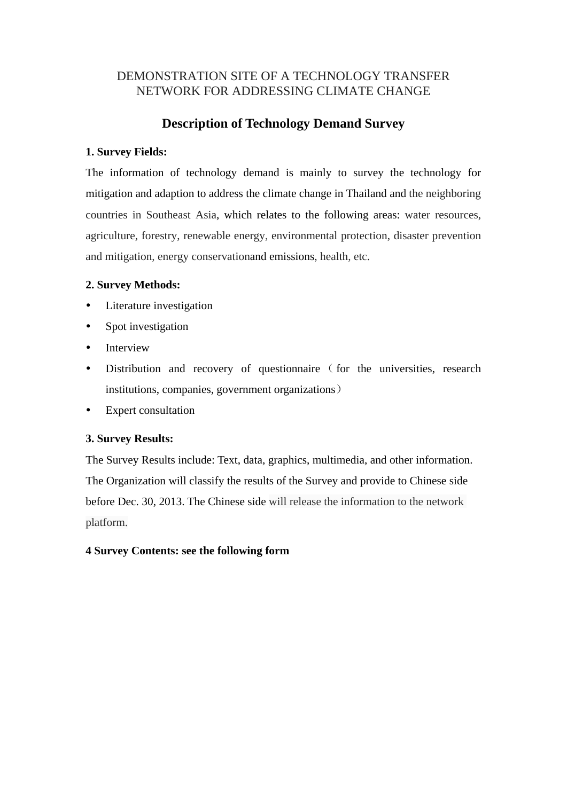# DEMONSTRATION SITE OF A TECHNOLOGY TRANSFER NETWORK FOR ADDRESSING CLIMATE CHANGE

# **Description of Technology Demand Survey**

## **1. Survey Fields:**

The information of technology demand is mainly to survey the technology for mitigation and adaption to address the climate change in Thailand and the neighboring countries in Southeast Asia, which relates to the following areas: water resources, agriculture, forestry, renewable energy, environmental protection, disaster prevention and mitigation, energy conservationand emissions, health, etc.

# **2. Survey Methods:**

- Literature investigation
- Spot investigation
- Interview
- Distribution and recovery of questionnaire (for the universities, research institutions, companies, government organizations)
- Expert consultation

## **3. Survey Results:**

The Survey Results include: Text, data, graphics, multimedia, and other information. The Organization will classify the results of the Survey and provide to Chinese side before Dec. 30, 2013. The Chinese side will release the information to the network platform.

## **4 Survey Contents: see the following form**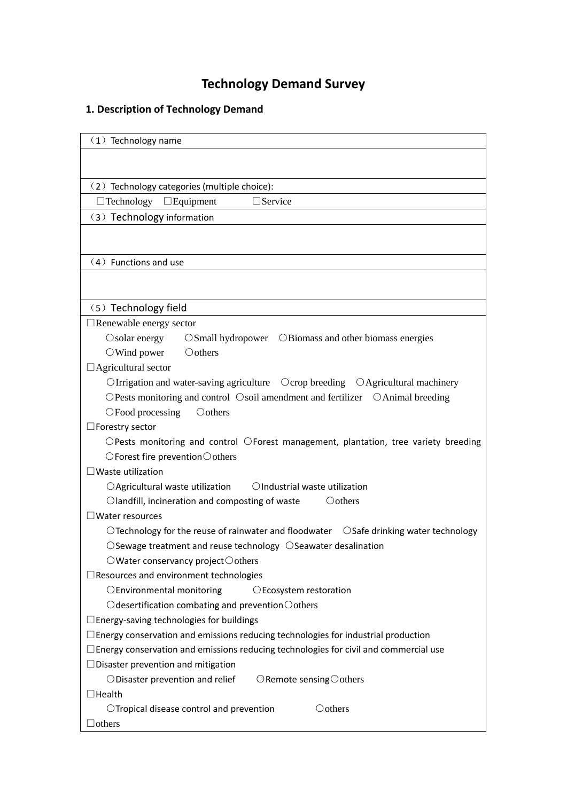# **Technology Demand Survey**

# **1. Description of Technology Demand**

| $(1)$ Technology name                                                                                         |  |  |
|---------------------------------------------------------------------------------------------------------------|--|--|
|                                                                                                               |  |  |
|                                                                                                               |  |  |
| (2) Technology categories (multiple choice):                                                                  |  |  |
| $\Box$ Service<br>$\Box$ Technology $\Box$ Equipment                                                          |  |  |
| (3) Technology information                                                                                    |  |  |
|                                                                                                               |  |  |
|                                                                                                               |  |  |
| (4) Functions and use                                                                                         |  |  |
|                                                                                                               |  |  |
|                                                                                                               |  |  |
| (5) Technology field                                                                                          |  |  |
| Renewable energy sector                                                                                       |  |  |
| $\circ$ Solar energy<br>OSmall hydropower OBiomass and other biomass energies                                 |  |  |
| Oothers<br>$\bigcirc$ Wind power                                                                              |  |  |
| $\Box$ Agricultural sector                                                                                    |  |  |
| $\bigcirc$ Irrigation and water-saving agriculture $\bigcirc$ Crop breeding $\bigcirc$ Agricultural machinery |  |  |
| OPests monitoring and control Osoil amendment and fertilizer OAnimal breeding                                 |  |  |
| OFood processing<br>Oothers                                                                                   |  |  |
| $\Box$ Forestry sector                                                                                        |  |  |
| $\bigcirc$ Pests monitoring and control $\bigcirc$ Forest management, plantation, tree variety breeding       |  |  |
| $\bigcirc$ Forest fire prevention $\bigcirc$ others                                                           |  |  |
| $\Box$ Waste utilization                                                                                      |  |  |
| OIndustrial waste utilization<br>$\bigcirc$ Agricultural waste utilization                                    |  |  |
| $\bigcirc$ landfill, incineration and composting of waste<br>$\bigcirc$ others                                |  |  |
| $\lrcorner$ Water resources                                                                                   |  |  |
| $\bigcirc$ Technology for the reuse of rainwater and floodwater $\bigcirc$ Safe drinking water technology     |  |  |
| $\bigcirc$ Sewage treatment and reuse technology $\bigcirc$ Seawater desalination                             |  |  |
| ○Water conservancy project○others                                                                             |  |  |
| Resources and environment technologies                                                                        |  |  |
| OEnvironmental monitoring<br>OEcosystem restoration                                                           |  |  |
| $\bigcirc$ desertification combating and prevention $\bigcirc$ others                                         |  |  |
| $\Box$ Energy-saving technologies for buildings                                                               |  |  |
| $\Box$ Energy conservation and emissions reducing technologies for industrial production                      |  |  |
| $\Box$ Energy conservation and emissions reducing technologies for civil and commercial use                   |  |  |
| $\Box$ Disaster prevention and mitigation                                                                     |  |  |
| ODisaster prevention and relief<br>$\bigcirc$ Remote sensing $\bigcirc$ others                                |  |  |
| $\Box$ Health                                                                                                 |  |  |
| Oothers<br>$\bigcirc$ Tropical disease control and prevention                                                 |  |  |
| $\Box$ others                                                                                                 |  |  |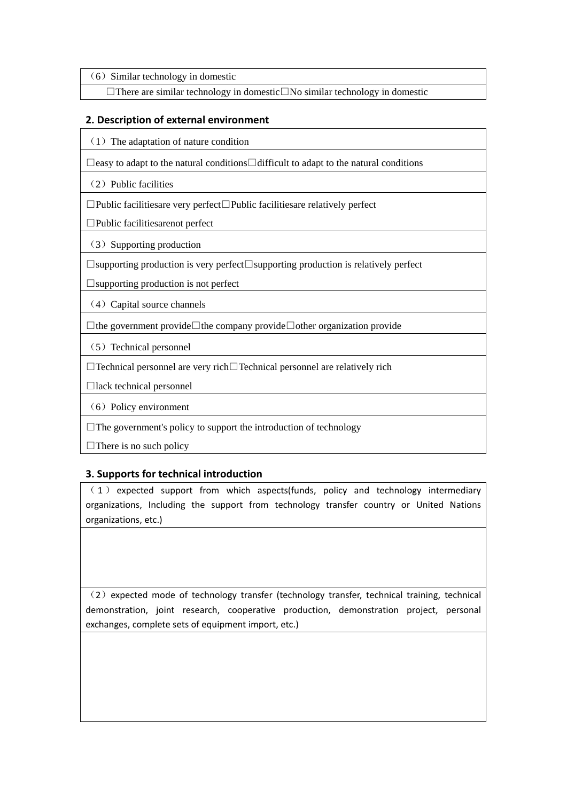$(6)$  Similar technology in domestic

□There are similar technology in domestic□No similar technology in domestic

#### **2. Description of external environment**

 $(1)$  The adaptation of nature condition

□easy to adapt to the natural conditions□difficult to adapt to the natural conditions

(2) Public facilities

□Public facilitiesare very perfect□Public facilitiesare relatively perfect

□Public facilitiesarenot perfect

(3) Supporting production

□supporting production is very perfect□supporting production is relatively perfect

□supporting production is not perfect

(4) Capital source channels

□the government provide□the company provide□other organization provide

(5) Technical personnel

□Technical personnel are very rich□Technical personnel are relatively rich

 $\Box$ lack technical personnel

(6) Policy environment

 $\Box$  The government's policy to support the introduction of technology

 $\Box$  There is no such policy

#### **3. Supports for technical introduction**

( 1 ) expected support from which aspects(funds, policy and technology intermediary organizations, Including the support from technology transfer country or United Nations organizations, etc.)

(2) expected mode of technology transfer (technology transfer, technical training, technical demonstration, joint research, cooperative production, demonstration project, personal exchanges, complete sets of equipment import, etc.)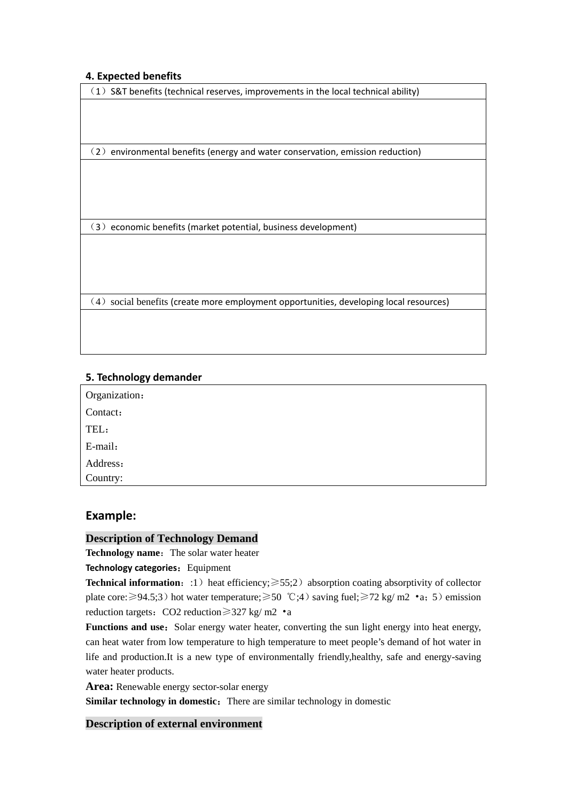#### **4. Expected benefits**

(1) S&T benefits (technical reserves, improvements in the local technical ability)

(2) environmental benefits (energy and water conservation, emission reduction)

(3) economic benefits (market potential, business development)

(4) social benefits (create more employment opportunities, developing local resources)

#### **5. Technology demander**

| Organization: |  |
|---------------|--|
| Contact:      |  |
| TEL:          |  |
| E-mail:       |  |
| Address:      |  |
| Country:      |  |
|               |  |

# **Example:**

#### **Description of Technology Demand**

**Technology name:** The solar water heater

#### **Technology categories:** Equipment

**Technical information:**:1) heat efficiency; $\geq 55;2$  absorption coating absorptivity of collector plate core:  $\geq 94.5$ ;3) hot water temperature;  $\geq 50$  °C;4) saving fuel;  $\geq 72$  kg/ m2 •a; 5) emission reduction targets: CO2 reduction $\geq$ 327 kg/ m2 •a

**Functions and use:** Solar energy water heater, converting the sun light energy into heat energy, can heat water from low temperature to high temperature to meet people's demand of hot water in life and production.It is a new type of environmentally friendly,healthy, safe and energy-saving water heater products.

**Area:** Renewable energy sector-solar energy

**Similar technology in domestic:** There are similar technology in domestic

## **Description of external environment**